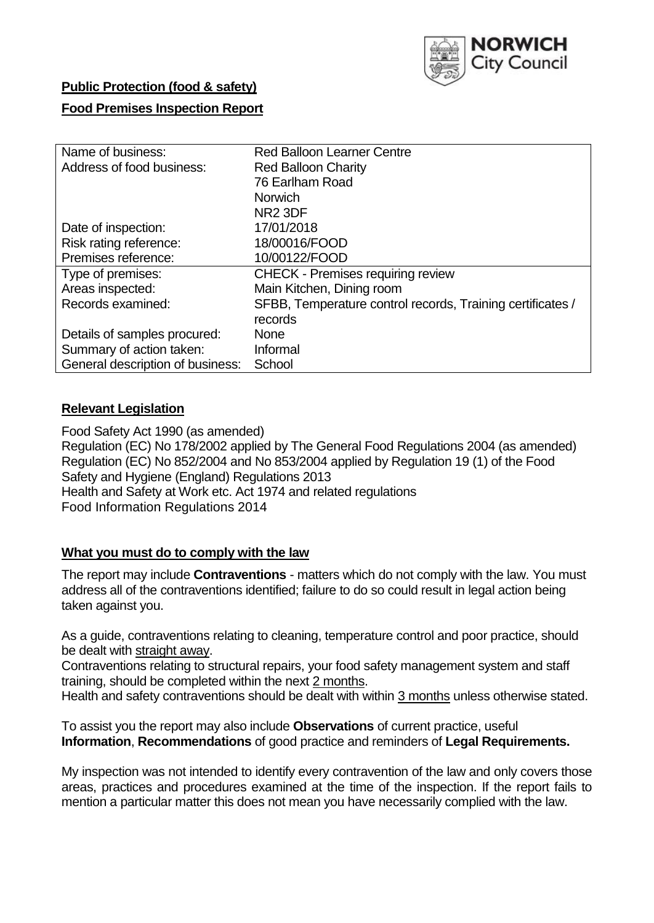

# **Public Protection (food & safety)**

# **Food Premises Inspection Report**

| Name of business:                | <b>Red Balloon Learner Centre</b>                          |
|----------------------------------|------------------------------------------------------------|
| Address of food business:        | <b>Red Balloon Charity</b>                                 |
|                                  | 76 Earlham Road                                            |
|                                  | <b>Norwich</b>                                             |
|                                  | NR <sub>2</sub> 3DF                                        |
| Date of inspection:              | 17/01/2018                                                 |
| Risk rating reference:           | 18/00016/FOOD                                              |
| Premises reference:              | 10/00122/FOOD                                              |
| Type of premises:                | <b>CHECK - Premises requiring review</b>                   |
| Areas inspected:                 | Main Kitchen, Dining room                                  |
| Records examined:                | SFBB, Temperature control records, Training certificates / |
|                                  | records                                                    |
| Details of samples procured:     | <b>None</b>                                                |
| Summary of action taken:         | Informal                                                   |
| General description of business: | School                                                     |

# **Relevant Legislation**

Food Safety Act 1990 (as amended) Regulation (EC) No 178/2002 applied by The General Food Regulations 2004 (as amended) Regulation (EC) No 852/2004 and No 853/2004 applied by Regulation 19 (1) of the Food Safety and Hygiene (England) Regulations 2013 Health and Safety at Work etc. Act 1974 and related regulations Food Information Regulations 2014

## **What you must do to comply with the law**

The report may include **Contraventions** - matters which do not comply with the law. You must address all of the contraventions identified; failure to do so could result in legal action being taken against you.

As a guide, contraventions relating to cleaning, temperature control and poor practice, should be dealt with straight away.

Contraventions relating to structural repairs, your food safety management system and staff training, should be completed within the next 2 months.

Health and safety contraventions should be dealt with within 3 months unless otherwise stated.

To assist you the report may also include **Observations** of current practice, useful **Information**, **Recommendations** of good practice and reminders of **Legal Requirements.**

My inspection was not intended to identify every contravention of the law and only covers those areas, practices and procedures examined at the time of the inspection. If the report fails to mention a particular matter this does not mean you have necessarily complied with the law.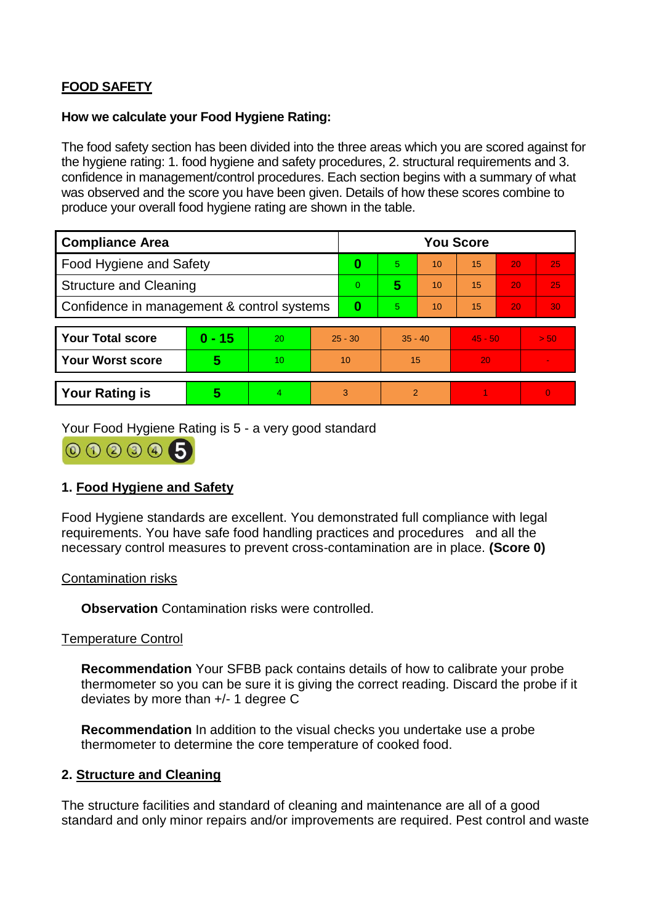# **FOOD SAFETY**

#### **How we calculate your Food Hygiene Rating:**

The food safety section has been divided into the three areas which you are scored against for the hygiene rating: 1. food hygiene and safety procedures, 2. structural requirements and 3. confidence in management/control procedures. Each section begins with a summary of what was observed and the score you have been given. Details of how these scores combine to produce your overall food hygiene rating are shown in the table.

| <b>Compliance Area</b>                     |          |    |                | <b>You Score</b> |           |    |           |    |                |  |  |
|--------------------------------------------|----------|----|----------------|------------------|-----------|----|-----------|----|----------------|--|--|
| Food Hygiene and Safety                    |          |    |                | 0                | 5.        | 10 | 15        | 20 | 25             |  |  |
| <b>Structure and Cleaning</b>              |          |    | $\overline{0}$ | 5                | 10        | 15 | 20        | 25 |                |  |  |
| Confidence in management & control systems |          |    | 0              | 5                | 10        | 15 | 20        | 30 |                |  |  |
|                                            |          |    |                |                  |           |    |           |    |                |  |  |
| <b>Your Total score</b>                    | $0 - 15$ | 20 | $25 - 30$      |                  | $35 - 40$ |    | $45 - 50$ |    | > 50           |  |  |
| Your Worst score                           | 5        | 10 | 10             |                  | 15        |    | 20        |    |                |  |  |
|                                            |          |    |                |                  |           |    |           |    |                |  |  |
| <b>Your Rating is</b>                      | 5        | 4. | 3              |                  | 2         |    |           |    | $\overline{0}$ |  |  |

Your Food Hygiene Rating is 5 - a very good standard



# **1. Food Hygiene and Safety**

Food Hygiene standards are excellent. You demonstrated full compliance with legal requirements. You have safe food handling practices and procedures and all the necessary control measures to prevent cross-contamination are in place. **(Score 0)**

## Contamination risks

**Observation** Contamination risks were controlled.

## Temperature Control

**Recommendation** Your SFBB pack contains details of how to calibrate your probe thermometer so you can be sure it is giving the correct reading. Discard the probe if it deviates by more than +/- 1 degree C

**Recommendation** In addition to the visual checks you undertake use a probe thermometer to determine the core temperature of cooked food.

## **2. Structure and Cleaning**

The structure facilities and standard of cleaning and maintenance are all of a good standard and only minor repairs and/or improvements are required. Pest control and waste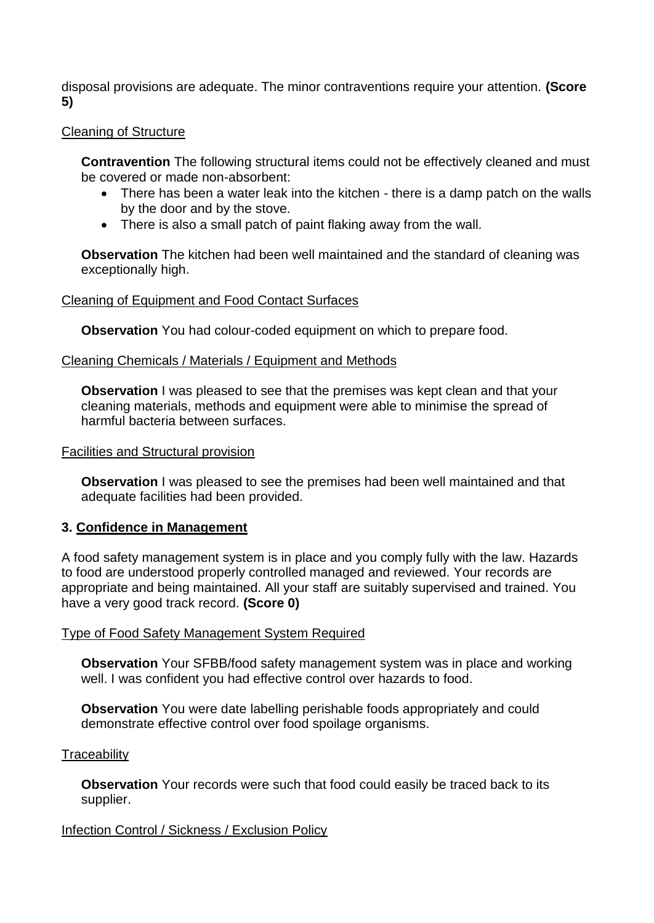disposal provisions are adequate. The minor contraventions require your attention. **(Score 5)**

# Cleaning of Structure

**Contravention** The following structural items could not be effectively cleaned and must be covered or made non-absorbent:

- There has been a water leak into the kitchen there is a damp patch on the walls by the door and by the stove.
- There is also a small patch of paint flaking away from the wall.

**Observation** The kitchen had been well maintained and the standard of cleaning was exceptionally high.

# Cleaning of Equipment and Food Contact Surfaces

**Observation** You had colour-coded equipment on which to prepare food.

# Cleaning Chemicals / Materials / Equipment and Methods

**Observation** I was pleased to see that the premises was kept clean and that your cleaning materials, methods and equipment were able to minimise the spread of harmful bacteria between surfaces.

## Facilities and Structural provision

**Observation** I was pleased to see the premises had been well maintained and that adequate facilities had been provided.

## **3. Confidence in Management**

A food safety management system is in place and you comply fully with the law. Hazards to food are understood properly controlled managed and reviewed. Your records are appropriate and being maintained. All your staff are suitably supervised and trained. You have a very good track record. **(Score 0)**

## Type of Food Safety Management System Required

**Observation** Your SFBB/food safety management system was in place and working well. I was confident you had effective control over hazards to food.

**Observation** You were date labelling perishable foods appropriately and could demonstrate effective control over food spoilage organisms.

## **Traceability**

**Observation** Your records were such that food could easily be traced back to its supplier.

# Infection Control / Sickness / Exclusion Policy